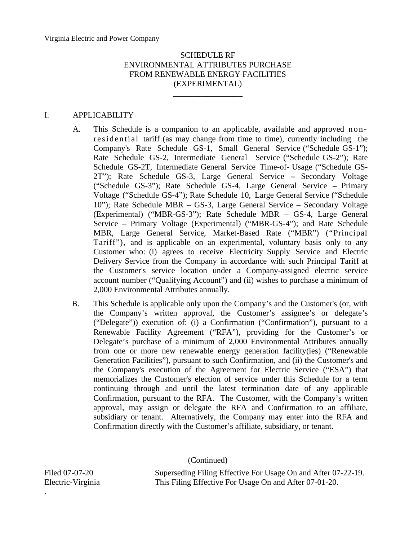\_\_\_\_\_\_\_\_\_\_\_\_\_\_\_\_\_

#### I. APPLICABILITY

- A. This Schedule is a companion to an applicable, available and approved nonresidential tariff (as may change from time to time), currently including the Company's Rate Schedule GS-1, Small General Service ("Schedule GS-1"); Rate Schedule GS-2, Intermediate General Service ("Schedule GS-2"); Rate Schedule GS-2T, Intermediate General Service Time-of- Usage ("Schedule GS-2T"); Rate Schedule GS-3, Large General Service - Secondary Voltage ("Schedule GS-3"); Rate Schedule GS-4, Large General Service - Primary Voltage ("Schedule GS-4"); Rate Schedule 10, Large General Service ("Schedule 10"); Rate Schedule MBR – GS-3, Large General Service – Secondary Voltage (Experimental) ("MBR-GS-3"); Rate Schedule MBR – GS-4, Large General Service – Primary Voltage (Experimental) ("MBR-GS-4"); and Rate Schedule MBR, Large General Service, Market-Based Rate ("MBR") ("Principal Tariff"), and is applicable on an experimental, voluntary basis only to any Customer who: (i) agrees to receive Electricity Supply Service and Electric Delivery Service from the Company in accordance with such Principal Tariff at the Customer's service location under a Company-assigned electric service account number ("Qualifying Account") and (ii) wishes to purchase a minimum of 2,000 Environmental Attributes annually.
- B. This Schedule is applicable only upon the Company's and the Customer's (or, with the Company's written approval, the Customer's assignee's or delegate's ("Delegate")) execution of: (i) a Confirmation ("Confirmation"), pursuant to a Renewable Facility Agreement ("RFA"), providing for the Customer's or Delegate's purchase of a minimum of 2,000 Environmental Attributes annually from one or more new renewable energy generation facility(ies) ("Renewable Generation Facilities"), pursuant to such Confirmation, and (ii) the Customer's and the Company's execution of the Agreement for Electric Service ("ESA") that memorializes the Customer's election of service under this Schedule for a term continuing through and until the latest termination date of any applicable Confirmation, pursuant to the RFA. The Customer, with the Company's written approval, may assign or delegate the RFA and Confirmation to an affiliate, subsidiary or tenant. Alternatively, the Company may enter into the RFA and Confirmation directly with the Customer's affiliate, subsidiary, or tenant.

(Continued)

Filed 07-07-20 Superseding Filing Effective For Usage On and After 07-22-19. Electric-Virginia This Filing Effective For Usage On and After 07-01-20.

.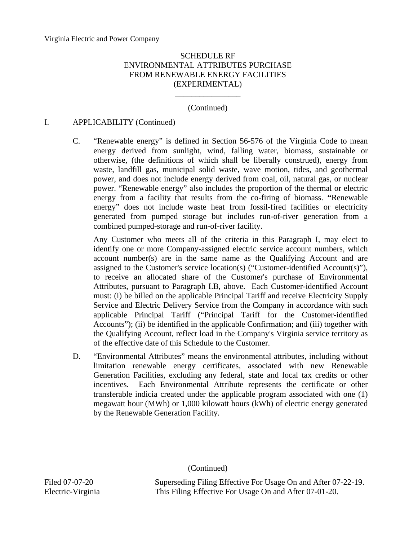## (Continued)

\_\_\_\_\_\_\_\_\_\_\_\_\_\_\_\_

### I. APPLICABILITY (Continued)

C. "Renewable energy" is defined in Section 56-576 of the Virginia Code to mean energy derived from sunlight, wind, falling water, biomass, sustainable or otherwise, (the definitions of which shall be liberally construed), energy from waste, landfill gas, municipal solid waste, wave motion, tides, and geothermal power, and does not include energy derived from coal, oil, natural gas, or nuclear power. "Renewable energy" also includes the proportion of the thermal or electric energy from a facility that results from the co-firing of biomass. **"**Renewable energy" does not include waste heat from fossil-fired facilities or electricity generated from pumped storage but includes run-of-river generation from a combined pumped-storage and run-of-river facility.

Any Customer who meets all of the criteria in this Paragraph I, may elect to identify one or more Company-assigned electric service account numbers, which account number(s) are in the same name as the Qualifying Account and are assigned to the Customer's service location(s) ("Customer-identified Account(s)"), to receive an allocated share of the Customer's purchase of Environmental Attributes, pursuant to Paragraph I.B, above. Each Customer-identified Account must: (i) be billed on the applicable Principal Tariff and receive Electricity Supply Service and Electric Delivery Service from the Company in accordance with such applicable Principal Tariff ("Principal Tariff for the Customer-identified Accounts"); (ii) be identified in the applicable Confirmation; and (iii) together with the Qualifying Account, reflect load in the Company's Virginia service territory as of the effective date of this Schedule to the Customer.

D. "Environmental Attributes" means the environmental attributes, including without limitation renewable energy certificates, associated with new Renewable Generation Facilities, excluding any federal, state and local tax credits or other incentives. Each Environmental Attribute represents the certificate or other transferable indicia created under the applicable program associated with one (1) megawatt hour (MWh) or 1,000 kilowatt hours (kWh) of electric energy generated by the Renewable Generation Facility.

#### (Continued)

Filed 07-07-20 Superseding Filing Effective For Usage On and After 07-22-19. Electric-Virginia This Filing Effective For Usage On and After 07-01-20.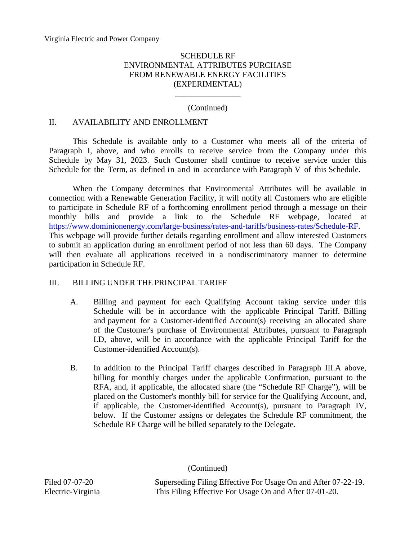### (Continued)

\_\_\_\_\_\_\_\_\_\_\_\_\_\_\_\_

### II. AVAILABILITY AND ENROLLMENT

This Schedule is available only to a Customer who meets all of the criteria of Paragraph I, above, and who enrolls to receive service from the Company under this Schedule by May 31, 2023. Such Customer shall continue to receive service under this Schedule for the Term, as defined in and in accordance with Paragraph V of this Schedule.

When the Company determines that Environmental Attributes will be available in connection with a Renewable Generation Facility, it will notify all Customers who are eligible to participate in Schedule RF of a forthcoming enrollment period through a message on their monthly bills and provide a link to the Schedule RF webpage, located at [https://www.dominionenergy.com/large-business/rates-and-tariffs/business-rates/Schedule-RF.](https://www.dominionenergy.com/large-business/rates-and-tariffs/business-rates/Schedule-RF) This webpage will provide further details regarding enrollment and allow interested Customers to submit an application during an enrollment period of not less than 60 days. The Company will then evaluate all applications received in a nondiscriminatory manner to determine participation in Schedule RF.

#### III. BILLING UNDER THE PRINCIPAL TARIFF

- A. Billing and payment for each Qualifying Account taking service under this Schedule will be in accordance with the applicable Principal Tariff. Billing and payment for a Customer-identified Account(s) receiving an allocated share of the Customer's purchase of Environmental Attributes, pursuant to Paragraph I.D, above, will be in accordance with the applicable Principal Tariff for the Customer-identified Account(s).
- B. In addition to the Principal Tariff charges described in Paragraph III.A above, billing for monthly charges under the applicable Confirmation, pursuant to the RFA, and, if applicable, the allocated share (the "Schedule RF Charge"), will be placed on the Customer's monthly bill for service for the Qualifying Account, and, if applicable, the Customer-identified Account(s), pursuant to Paragraph IV, below. If the Customer assigns or delegates the Schedule RF commitment, the Schedule RF Charge will be billed separately to the Delegate.

(Continued)

Filed 07-07-20 Superseding Filing Effective For Usage On and After 07-22-19. Electric-Virginia This Filing Effective For Usage On and After 07-01-20.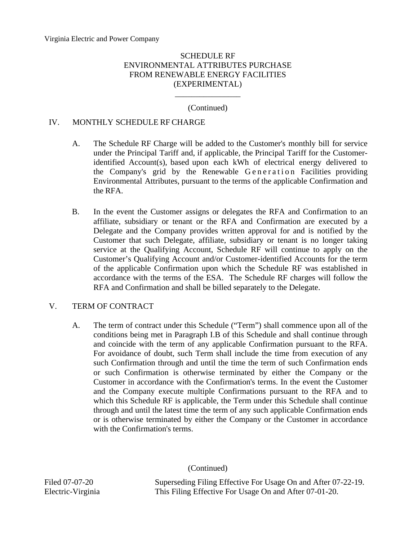## (Continued)

\_\_\_\_\_\_\_\_\_\_\_\_\_\_\_\_

### IV. MONTHLY SCHEDULE RF CHARGE

- A. The Schedule RF Charge will be added to the Customer's monthly bill for service under the Principal Tariff and, if applicable, the Principal Tariff for the Customeridentified Account(s), based upon each kWh of electrical energy delivered to the Company's grid by the Renewable Generation Facilities providing Environmental Attributes, pursuant to the terms of the applicable Confirmation and the RFA.
- B. In the event the Customer assigns or delegates the RFA and Confirmation to an affiliate, subsidiary or tenant or the RFA and Confirmation are executed by a Delegate and the Company provides written approval for and is notified by the Customer that such Delegate, affiliate, subsidiary or tenant is no longer taking service at the Qualifying Account, Schedule RF will continue to apply on the Customer's Qualifying Account and/or Customer-identified Accounts for the term of the applicable Confirmation upon which the Schedule RF was established in accordance with the terms of the ESA. The Schedule RF charges will follow the RFA and Confirmation and shall be billed separately to the Delegate.

### V. TERM OF CONTRACT

A. The term of contract under this Schedule ("Term") shall commence upon all of the conditions being met in Paragraph I.B of this Schedule and shall continue through and coincide with the term of any applicable Confirmation pursuant to the RFA. For avoidance of doubt, such Term shall include the time from execution of any such Confirmation through and until the time the term of such Confirmation ends or such Confirmation is otherwise terminated by either the Company or the Customer in accordance with the Confirmation's terms. In the event the Customer and the Company execute multiple Confirmations pursuant to the RFA and to which this Schedule RF is applicable, the Term under this Schedule shall continue through and until the latest time the term of any such applicable Confirmation ends or is otherwise terminated by either the Company or the Customer in accordance with the Confirmation's terms.

#### (Continued)

Filed 07-07-20 Superseding Filing Effective For Usage On and After 07-22-19. Electric-Virginia This Filing Effective For Usage On and After 07-01-20.